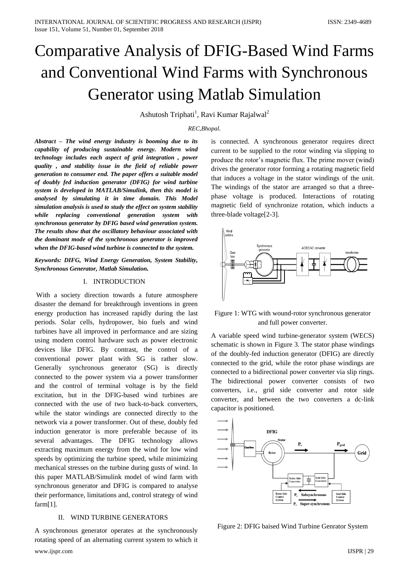# Comparative Analysis of DFIG-Based Wind Farms and Conventional Wind Farms with Synchronous Generator using Matlab Simulation

Ashutosh Triphati<sup>1</sup>, Ravi Kumar Rajalwal<sup>2</sup>

## *REC,Bhopal.*

*Abstract – The wind energy industry is booming due to its capability of producing sustainable energy. Modern wind technology includes each aspect of grid integration , power quality , and stability issue in the field of reliable power generation to consumer end. The paper offers a suitable model of doubly fed induction generator (DFIG) for wind turbine system is developed in MATLAB/Simulink, then this model is analysed by simulating it in time domain. This Model simulation analysis is used to study the effect on system stability while replacing conventional generation system with synchronous generator by DFIG based wind generation system. The results show that the oscillatory behaviour associated with the dominant mode of the synchronous generator is improved when the DFIG-based wind turbine is connected to the system.*

*Keywords: DIFG, Wind Energy Generation, System Stability, Synchronous Generator, Matlab Simulation.*

## I. INTRODUCTION

With a society direction towards a future atmosphere disaster the demand for breakthrough inventions in green energy production has increased rapidly during the last periods. Solar cells, hydropower, bio fuels and wind turbines have all improved in performance and are sizing using modern control hardware such as power electronic devices like DFIG. By contrast, the control of a conventional power plant with SG is rather slow. Generally synchronous generator (SG) is directly connected to the power system via a power transformer and the control of terminal voltage is by the field excitation, but in the DFIG-based wind turbines are connected with the use of two back-to-back converters, while the stator windings are connected directly to the network via a power transformer. Out of these, doubly fed induction generator is more preferable because of its several advantages. The DFIG technology allows extracting maximum energy from the wind for low wind speeds by optimizing the turbine speed, while minimizing mechanical stresses on the turbine during gusts of wind. In this paper MATLAB/Simulink model of wind farm with synchronous generator and DFIG is compared to analyse their performance, limitations and, control strategy of wind farm[1].

## II. WIND TURBINE GENERATORS

www.ijspr.com IJSPR | 29 A synchronous generator operates at the synchronously rotating speed of an alternating current system to which it

is connected. A synchronous generator requires direct current to be supplied to the rotor winding via slipping to produce the rotor's magnetic flux. The prime mover (wind) drives the generator rotor forming a rotating magnetic field that induces a voltage in the stator windings of the unit. The windings of the stator are arranged so that a threephase voltage is produced. Interactions of rotating magnetic field of synchronize rotation, which inducts a three-blade voltage[2-3].





A variable speed wind turbine-generator system (WECS) schematic is shown in Figure 3. The stator phase windings of the doubly-fed induction generator (DFIG) are directly connected to the grid, while the rotor phase windings are connected to a bidirectional power converter via slip rings. The bidirectional power converter consists of two converters, i.e., grid side converter and rotor side converter, and between the two converters a dc-link capacitor is positioned.



Figure 2: DFIG baised Wind Turbine Genrator System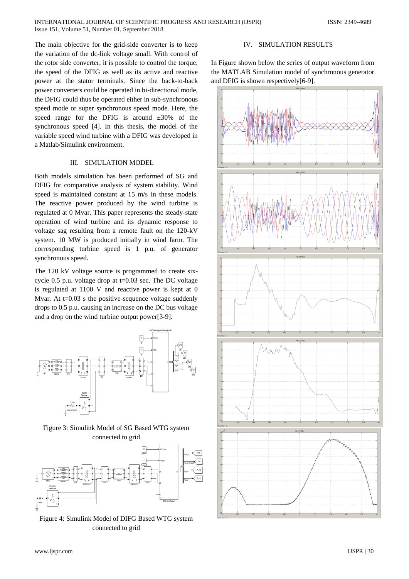The main objective for the grid-side converter is to keep the variation of the dc-link voltage small. With control of the rotor side converter, it is possible to control the torque, the speed of the DFIG as well as its active and reactive power at the stator terminals. Since the back-to-back power converters could be operated in bi-directional mode, the DFIG could thus be operated either in sub-synchronous speed mode or super synchronous speed mode. Here, the speed range for the DFIG is around  $\pm 30\%$  of the synchronous speed [4]. In this thesis, the model of the variable speed wind turbine with a DFIG was developed in a Matlab/Simulink environment.

# III. SIMULATION MODEL

Both models simulation has been performed of SG and DFIG for comparative analysis of system stability. Wind speed is maintained constant at 15 m/s in these models. The reactive power produced by the wind turbine is regulated at 0 Mvar. This paper represents the steady-state operation of wind turbine and its dynamic response to voltage sag resulting from a remote fault on the 120-kV system. 10 MW is produced initially in wind farm. The corresponding turbine speed is 1 p.u. of generator synchronous speed.

The 120 kV voltage source is programmed to create sixcycle 0.5 p.u. voltage drop at t=0.03 sec. The DC voltage is regulated at 1100 V and reactive power is kept at 0 Mvar. At  $t=0.03$  s the positive-sequence voltage suddenly drops to 0.5 p.u. causing an increase on the DC bus voltage and a drop on the wind turbine output power[3-9].



Figure 3: Simulink Model of SG Based WTG system connected to grid



Figure 4: Simulink Model of DIFG Based WTG system connected to grid

## IV. SIMULATION RESULTS

In Figure shown below the series of output waveform from the MATLAB Simulation model of synchronous generator and DFIG is shown respectively[6-9].

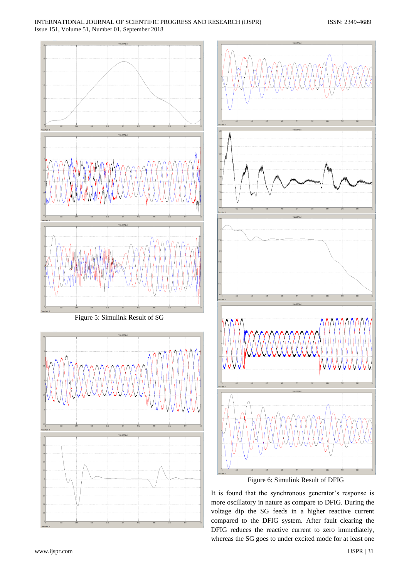

Figure 5: Simulink Result of SG





It is found that the synchronous generator's response is more oscillatory in nature as compare to DFIG. During the voltage dip the SG feeds in a higher reactive current compared to the DFIG system. After fault clearing the DFIG reduces the reactive current to zero immediately, whereas the SG goes to under excited mode for at least one